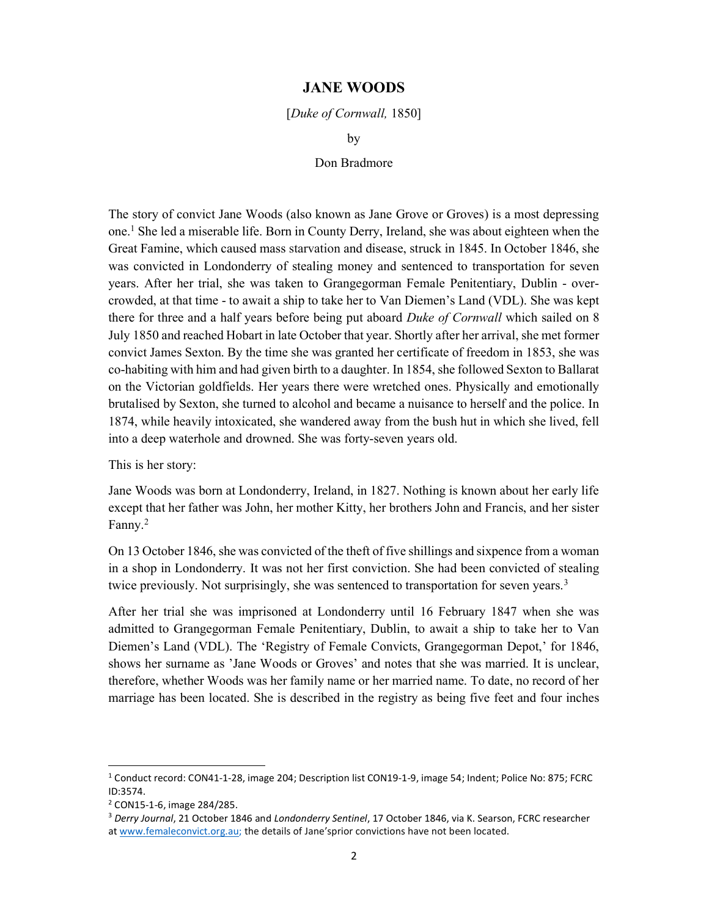## JANE WOODS

## [Duke of Cornwall, 1850]

by

## Don Bradmore

The story of convict Jane Woods (also known as Jane Grove or Groves) is a most depressing one.<sup>1</sup> She led a miserable life. Born in County Derry, Ireland, she was about eighteen when the Great Famine, which caused mass starvation and disease, struck in 1845. In October 1846, she was convicted in Londonderry of stealing money and sentenced to transportation for seven years. After her trial, she was taken to Grangegorman Female Penitentiary, Dublin - overcrowded, at that time - to await a ship to take her to Van Diemen's Land (VDL). She was kept there for three and a half years before being put aboard Duke of Cornwall which sailed on 8 July 1850 and reached Hobart in late October that year. Shortly after her arrival, she met former convict James Sexton. By the time she was granted her certificate of freedom in 1853, she was co-habiting with him and had given birth to a daughter. In 1854, she followed Sexton to Ballarat on the Victorian goldfields. Her years there were wretched ones. Physically and emotionally brutalised by Sexton, she turned to alcohol and became a nuisance to herself and the police. In 1874, while heavily intoxicated, she wandered away from the bush hut in which she lived, fell into a deep waterhole and drowned. She was forty-seven years old.

This is her story:

Jane Woods was born at Londonderry, Ireland, in 1827. Nothing is known about her early life except that her father was John, her mother Kitty, her brothers John and Francis, and her sister Fanny.<sup>2</sup>

On 13 October 1846, she was convicted of the theft of five shillings and sixpence from a woman in a shop in Londonderry. It was not her first conviction. She had been convicted of stealing twice previously. Not surprisingly, she was sentenced to transportation for seven years.<sup>3</sup>

After her trial she was imprisoned at Londonderry until 16 February 1847 when she was admitted to Grangegorman Female Penitentiary, Dublin, to await a ship to take her to Van Diemen's Land (VDL). The 'Registry of Female Convicts, Grangegorman Depot,' for 1846, shows her surname as 'Jane Woods or Groves' and notes that she was married. It is unclear, therefore, whether Woods was her family name or her married name. To date, no record of her marriage has been located. She is described in the registry as being five feet and four inches

<sup>&</sup>lt;sup>1</sup> Conduct record: CON41-1-28, image 204; Description list CON19-1-9, image 54; Indent; Police No: 875; FCRC ID:3574.

<sup>2</sup> CON15-1-6, image 284/285.

<sup>&</sup>lt;sup>3</sup> Derry Journal, 21 October 1846 and Londonderry Sentinel, 17 October 1846, via K. Searson, FCRC researcher at www.femaleconvict.org.au; the details of Jane'sprior convictions have not been located.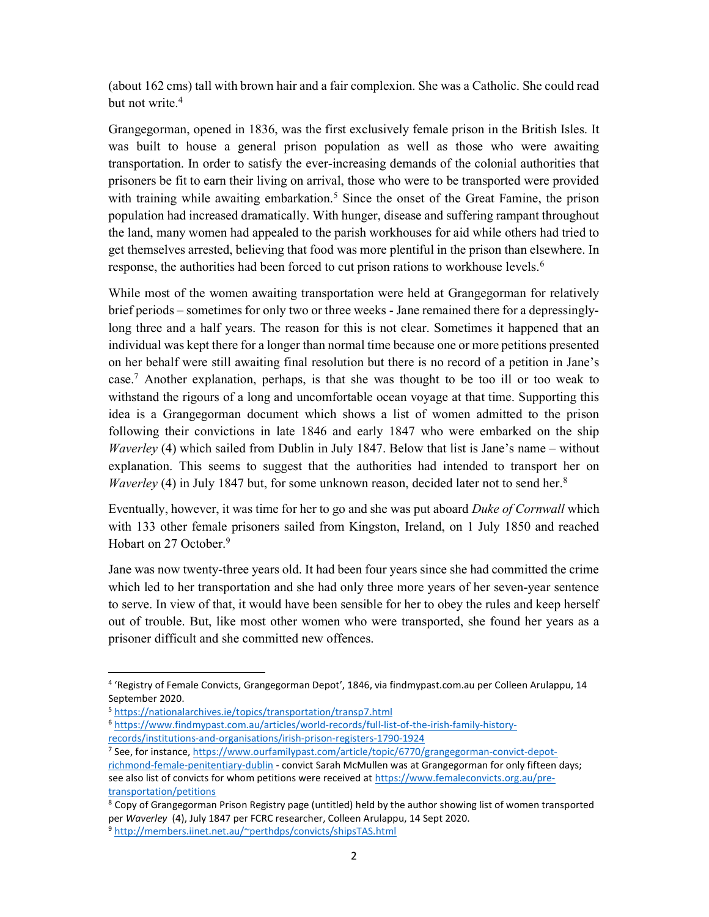(about 162 cms) tall with brown hair and a fair complexion. She was a Catholic. She could read but not write.<sup>4</sup>

Grangegorman, opened in 1836, was the first exclusively female prison in the British Isles. It was built to house a general prison population as well as those who were awaiting transportation. In order to satisfy the ever-increasing demands of the colonial authorities that prisoners be fit to earn their living on arrival, those who were to be transported were provided with training while awaiting embarkation.<sup>5</sup> Since the onset of the Great Famine, the prison population had increased dramatically. With hunger, disease and suffering rampant throughout the land, many women had appealed to the parish workhouses for aid while others had tried to get themselves arrested, believing that food was more plentiful in the prison than elsewhere. In response, the authorities had been forced to cut prison rations to workhouse levels.<sup>6</sup>

While most of the women awaiting transportation were held at Grangegorman for relatively brief periods – sometimes for only two or three weeks - Jane remained there for a depressinglylong three and a half years. The reason for this is not clear. Sometimes it happened that an individual was kept there for a longer than normal time because one or more petitions presented on her behalf were still awaiting final resolution but there is no record of a petition in Jane's case.<sup>7</sup> Another explanation, perhaps, is that she was thought to be too ill or too weak to withstand the rigours of a long and uncomfortable ocean voyage at that time. Supporting this idea is a Grangegorman document which shows a list of women admitted to the prison following their convictions in late 1846 and early 1847 who were embarked on the ship Waverley (4) which sailed from Dublin in July 1847. Below that list is Jane's name – without explanation. This seems to suggest that the authorities had intended to transport her on *Waverley* (4) in July 1847 but, for some unknown reason, decided later not to send her.<sup>8</sup>

Eventually, however, it was time for her to go and she was put aboard Duke of Cornwall which with 133 other female prisoners sailed from Kingston, Ireland, on 1 July 1850 and reached Hobart on 27 October.<sup>9</sup>

Jane was now twenty-three years old. It had been four years since she had committed the crime which led to her transportation and she had only three more years of her seven-year sentence to serve. In view of that, it would have been sensible for her to obey the rules and keep herself out of trouble. But, like most other women who were transported, she found her years as a prisoner difficult and she committed new offences.

1

<sup>7</sup> See, for instance, https://www.ourfamilypast.com/article/topic/6770/grangegorman-convict-depotrichmond-female-penitentiary-dublin - convict Sarah McMullen was at Grangegorman for only fifteen days; see also list of convicts for whom petitions were received at https://www.femaleconvicts.org.au/pretransportation/petitions

<sup>4</sup> 'Registry of Female Convicts, Grangegorman Depot', 1846, via findmypast.com.au per Colleen Arulappu, 14 September 2020.

<sup>5</sup> https://nationalarchives.ie/topics/transportation/transp7.html

<sup>6</sup> https://www.findmypast.com.au/articles/world-records/full-list-of-the-irish-family-historyrecords/institutions-and-organisations/irish-prison-registers-1790-1924

<sup>&</sup>lt;sup>8</sup> Copy of Grangegorman Prison Registry page (untitled) held by the author showing list of women transported per Waverley (4), July 1847 per FCRC researcher, Colleen Arulappu, 14 Sept 2020. <sup>9</sup> http://members.iinet.net.au/~perthdps/convicts/shipsTAS.html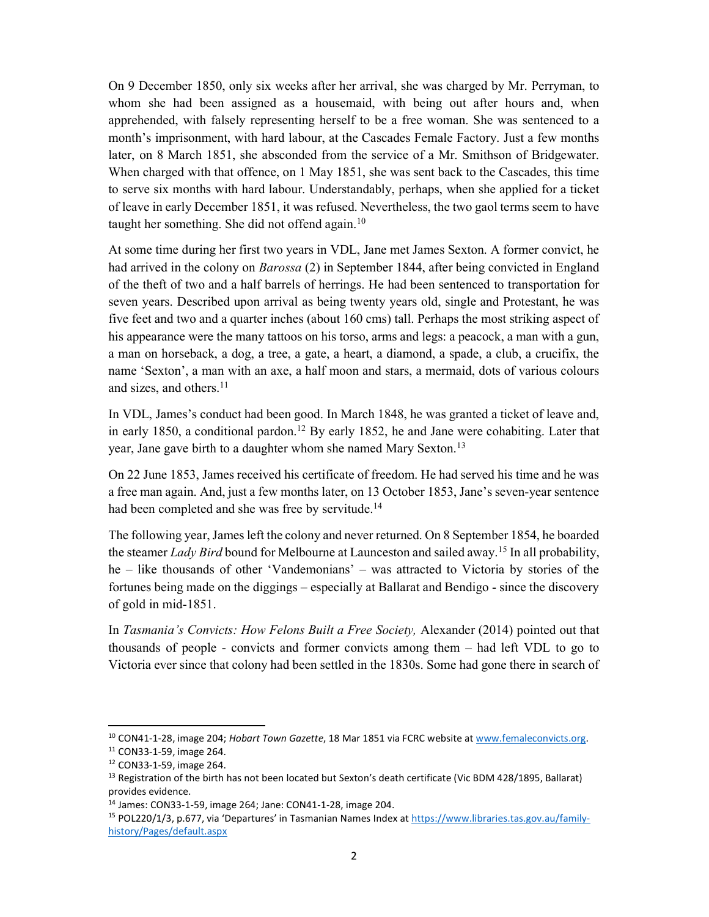On 9 December 1850, only six weeks after her arrival, she was charged by Mr. Perryman, to whom she had been assigned as a housemaid, with being out after hours and, when apprehended, with falsely representing herself to be a free woman. She was sentenced to a month's imprisonment, with hard labour, at the Cascades Female Factory. Just a few months later, on 8 March 1851, she absconded from the service of a Mr. Smithson of Bridgewater. When charged with that offence, on 1 May 1851, she was sent back to the Cascades, this time to serve six months with hard labour. Understandably, perhaps, when she applied for a ticket of leave in early December 1851, it was refused. Nevertheless, the two gaol terms seem to have taught her something. She did not offend again.<sup>10</sup>

At some time during her first two years in VDL, Jane met James Sexton. A former convict, he had arrived in the colony on *Barossa* (2) in September 1844, after being convicted in England of the theft of two and a half barrels of herrings. He had been sentenced to transportation for seven years. Described upon arrival as being twenty years old, single and Protestant, he was five feet and two and a quarter inches (about 160 cms) tall. Perhaps the most striking aspect of his appearance were the many tattoos on his torso, arms and legs: a peacock, a man with a gun, a man on horseback, a dog, a tree, a gate, a heart, a diamond, a spade, a club, a crucifix, the name 'Sexton', a man with an axe, a half moon and stars, a mermaid, dots of various colours and sizes, and others.<sup>11</sup>

In VDL, James's conduct had been good. In March 1848, he was granted a ticket of leave and, in early 1850, a conditional pardon.<sup>12</sup> By early 1852, he and Jane were cohabiting. Later that year, Jane gave birth to a daughter whom she named Mary Sexton.<sup>13</sup>

On 22 June 1853, James received his certificate of freedom. He had served his time and he was a free man again. And, just a few months later, on 13 October 1853, Jane's seven-year sentence had been completed and she was free by servitude.<sup>14</sup>

The following year, James left the colony and never returned. On 8 September 1854, he boarded the steamer *Lady Bird* bound for Melbourne at Launceston and sailed away.<sup>15</sup> In all probability, he – like thousands of other 'Vandemonians' – was attracted to Victoria by stories of the fortunes being made on the diggings – especially at Ballarat and Bendigo - since the discovery of gold in mid-1851.

In Tasmania's Convicts: How Felons Built a Free Society, Alexander (2014) pointed out that thousands of people - convicts and former convicts among them – had left VDL to go to Victoria ever since that colony had been settled in the 1830s. Some had gone there in search of

<sup>&</sup>lt;sup>10</sup> CON41-1-28, image 204; Hobart Town Gazette, 18 Mar 1851 via FCRC website at www.femaleconvicts.org. <sup>11</sup> CON33-1-59, image 264.

<sup>12</sup> CON33-1-59, image 264.

<sup>&</sup>lt;sup>13</sup> Registration of the birth has not been located but Sexton's death certificate (Vic BDM 428/1895, Ballarat) provides evidence.

<sup>14</sup> James: CON33-1-59, image 264; Jane: CON41-1-28, image 204.

<sup>&</sup>lt;sup>15</sup> POL220/1/3, p.677, via 'Departures' in Tasmanian Names Index at https://www.libraries.tas.gov.au/familyhistory/Pages/default.aspx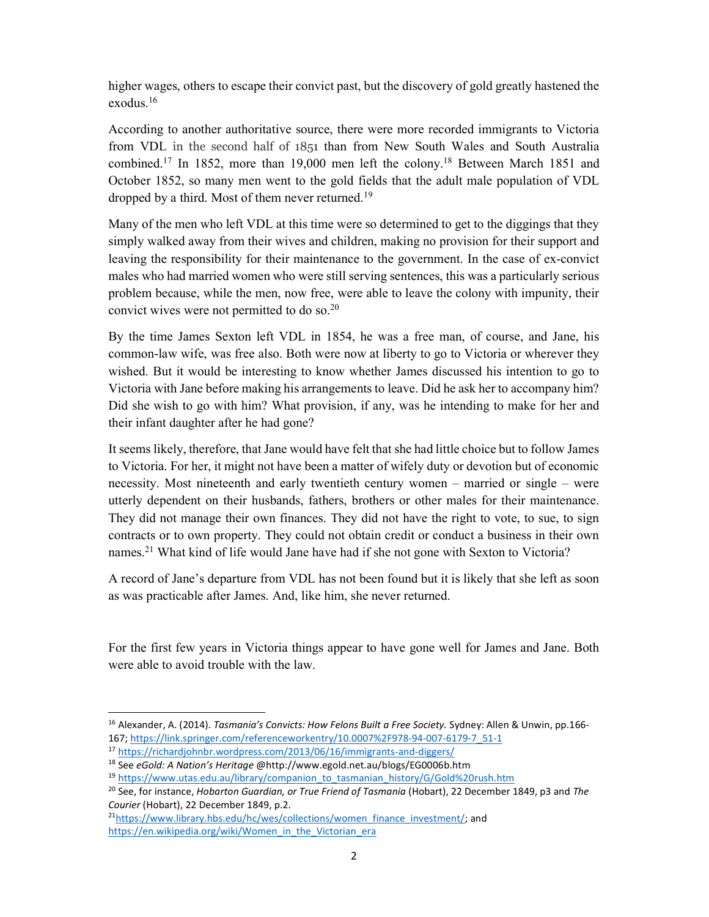higher wages, others to escape their convict past, but the discovery of gold greatly hastened the exodus.<sup>16</sup>

According to another authoritative source, there were more recorded immigrants to Victoria from VDL in the second half of 1851 than from New South Wales and South Australia combined.<sup>17</sup> In 1852, more than 19,000 men left the colony.<sup>18</sup> Between March 1851 and October 1852, so many men went to the gold fields that the adult male population of VDL dropped by a third. Most of them never returned.<sup>19</sup>

Many of the men who left VDL at this time were so determined to get to the diggings that they simply walked away from their wives and children, making no provision for their support and leaving the responsibility for their maintenance to the government. In the case of ex-convict males who had married women who were still serving sentences, this was a particularly serious problem because, while the men, now free, were able to leave the colony with impunity, their convict wives were not permitted to do so.<sup>20</sup>

By the time James Sexton left VDL in 1854, he was a free man, of course, and Jane, his common-law wife, was free also. Both were now at liberty to go to Victoria or wherever they wished. But it would be interesting to know whether James discussed his intention to go to Victoria with Jane before making his arrangements to leave. Did he ask her to accompany him? Did she wish to go with him? What provision, if any, was he intending to make for her and their infant daughter after he had gone?

It seems likely, therefore, that Jane would have felt that she had little choice but to follow James to Victoria. For her, it might not have been a matter of wifely duty or devotion but of economic necessity. Most nineteenth and early twentieth century women – married or single – were utterly dependent on their husbands, fathers, brothers or other males for their maintenance. They did not manage their own finances. They did not have the right to vote, to sue, to sign contracts or to own property. They could not obtain credit or conduct a business in their own names.<sup>21</sup> What kind of life would Jane have had if she not gone with Sexton to Victoria?

A record of Jane's departure from VDL has not been found but it is likely that she left as soon as was practicable after James. And, like him, she never returned.

For the first few years in Victoria things appear to have gone well for James and Jane. Both were able to avoid trouble with the law.

<sup>&</sup>lt;sup>16</sup> Alexander, A. (2014). Tasmania's Convicts: How Felons Built a Free Society. Sydney: Allen & Unwin, pp.166-167; https://link.springer.com/referenceworkentry/10.0007%2F978-94-007-6179-7\_51-1

<sup>17</sup> https://richardjohnbr.wordpress.com/2013/06/16/immigrants-and-diggers/

<sup>18</sup> See eGold: A Nation's Heritage @http://www.egold.net.au/blogs/EG0006b.htm

<sup>&</sup>lt;sup>19</sup> https://www.utas.edu.au/library/companion\_to\_tasmanian\_history/G/Gold%20rush.htm

<sup>&</sup>lt;sup>20</sup> See, for instance, Hobarton Guardian, or True Friend of Tasmania (Hobart), 22 December 1849, p3 and The Courier (Hobart), 22 December 1849, p.2.

<sup>&</sup>lt;sup>21</sup>https://www.library.hbs.edu/hc/wes/collections/women\_finance\_investment/; and https://en.wikipedia.org/wiki/Women\_in\_the\_Victorian\_era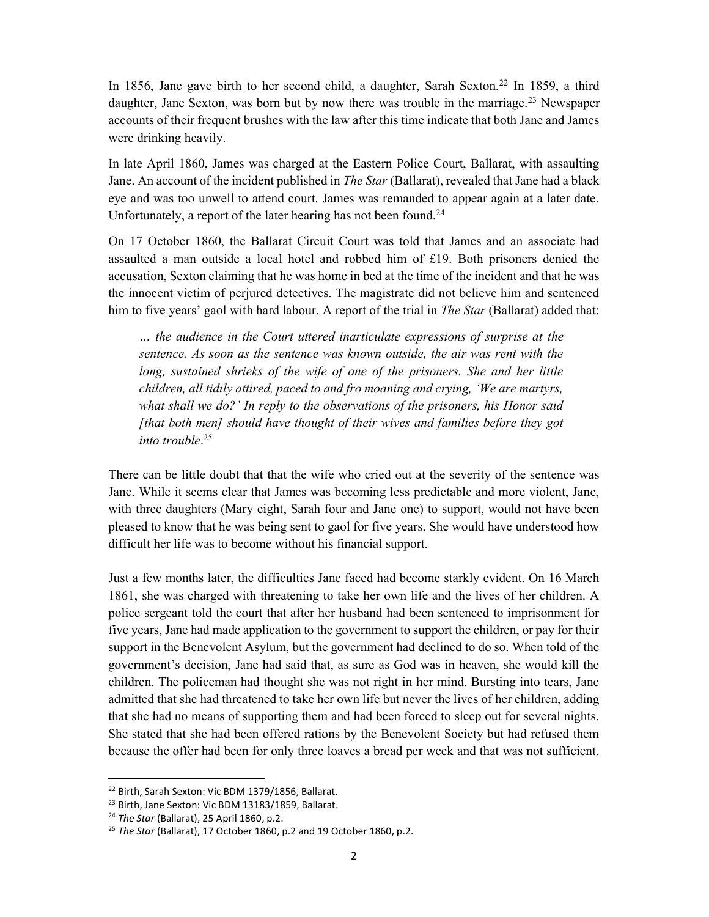In 1856, Jane gave birth to her second child, a daughter, Sarah Sexton.<sup>22</sup> In 1859, a third daughter, Jane Sexton, was born but by now there was trouble in the marriage.<sup>23</sup> Newspaper accounts of their frequent brushes with the law after this time indicate that both Jane and James were drinking heavily.

In late April 1860, James was charged at the Eastern Police Court, Ballarat, with assaulting Jane. An account of the incident published in *The Star* (Ballarat), revealed that Jane had a black eye and was too unwell to attend court. James was remanded to appear again at a later date. Unfortunately, a report of the later hearing has not been found.<sup>24</sup>

On 17 October 1860, the Ballarat Circuit Court was told that James and an associate had assaulted a man outside a local hotel and robbed him of £19. Both prisoners denied the accusation, Sexton claiming that he was home in bed at the time of the incident and that he was the innocent victim of perjured detectives. The magistrate did not believe him and sentenced him to five years' gaol with hard labour. A report of the trial in *The Star* (Ballarat) added that:

… the audience in the Court uttered inarticulate expressions of surprise at the sentence. As soon as the sentence was known outside, the air was rent with the long, sustained shrieks of the wife of one of the prisoners. She and her little children, all tidily attired, paced to and fro moaning and crying, 'We are martyrs, what shall we do?' In reply to the observations of the prisoners, his Honor said [that both men] should have thought of their wives and families before they got into trouble. 25

There can be little doubt that that the wife who cried out at the severity of the sentence was Jane. While it seems clear that James was becoming less predictable and more violent, Jane, with three daughters (Mary eight, Sarah four and Jane one) to support, would not have been pleased to know that he was being sent to gaol for five years. She would have understood how difficult her life was to become without his financial support.

Just a few months later, the difficulties Jane faced had become starkly evident. On 16 March 1861, she was charged with threatening to take her own life and the lives of her children. A police sergeant told the court that after her husband had been sentenced to imprisonment for five years, Jane had made application to the government to support the children, or pay for their support in the Benevolent Asylum, but the government had declined to do so. When told of the government's decision, Jane had said that, as sure as God was in heaven, she would kill the children. The policeman had thought she was not right in her mind. Bursting into tears, Jane admitted that she had threatened to take her own life but never the lives of her children, adding that she had no means of supporting them and had been forced to sleep out for several nights. She stated that she had been offered rations by the Benevolent Society but had refused them because the offer had been for only three loaves a bread per week and that was not sufficient.

<sup>22</sup> Birth, Sarah Sexton: Vic BDM 1379/1856, Ballarat.

<sup>&</sup>lt;sup>23</sup> Birth, Jane Sexton: Vic BDM 13183/1859, Ballarat.

<sup>&</sup>lt;sup>24</sup> The Star (Ballarat), 25 April 1860, p.2.

<sup>&</sup>lt;sup>25</sup> The Star (Ballarat), 17 October 1860, p.2 and 19 October 1860, p.2.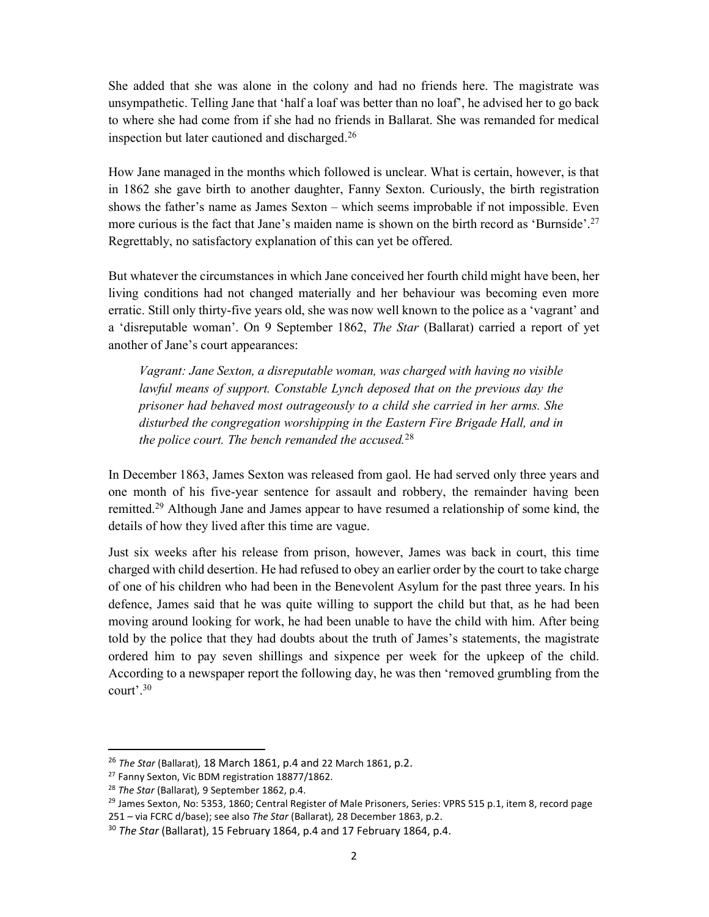She added that she was alone in the colony and had no friends here. The magistrate was unsympathetic. Telling Jane that 'half a loaf was better than no loaf', he advised her to go back to where she had come from if she had no friends in Ballarat. She was remanded for medical inspection but later cautioned and discharged.<sup>26</sup>

How Jane managed in the months which followed is unclear. What is certain, however, is that in 1862 she gave birth to another daughter, Fanny Sexton. Curiously, the birth registration shows the father's name as James Sexton – which seems improbable if not impossible. Even more curious is the fact that Jane's maiden name is shown on the birth record as 'Burnside'.<sup>27</sup> Regrettably, no satisfactory explanation of this can yet be offered.

But whatever the circumstances in which Jane conceived her fourth child might have been, her living conditions had not changed materially and her behaviour was becoming even more erratic. Still only thirty-five years old, she was now well known to the police as a 'vagrant' and a 'disreputable woman'. On 9 September 1862, *The Star* (Ballarat) carried a report of yet another of Jane's court appearances:

Vagrant: Jane Sexton, a disreputable woman, was charged with having no visible lawful means of support. Constable Lynch deposed that on the previous day the prisoner had behaved most outrageously to a child she carried in her arms. She disturbed the congregation worshipping in the Eastern Fire Brigade Hall, and in the police court. The bench remanded the accused.<sup>28</sup>

In December 1863, James Sexton was released from gaol. He had served only three years and one month of his five-year sentence for assault and robbery, the remainder having been remitted.<sup>29</sup> Although Jane and James appear to have resumed a relationship of some kind, the details of how they lived after this time are vague.

Just six weeks after his release from prison, however, James was back in court, this time charged with child desertion. He had refused to obey an earlier order by the court to take charge of one of his children who had been in the Benevolent Asylum for the past three years. In his defence, James said that he was quite willing to support the child but that, as he had been moving around looking for work, he had been unable to have the child with him. After being told by the police that they had doubts about the truth of James's statements, the magistrate ordered him to pay seven shillings and sixpence per week for the upkeep of the child. According to a newspaper report the following day, he was then 'removed grumbling from the court'.<sup>30</sup>

 $26$  The Star (Ballarat), 18 March 1861, p.4 and 22 March 1861, p.2.

<sup>&</sup>lt;sup>27</sup> Fanny Sexton, Vic BDM registration 18877/1862.

<sup>&</sup>lt;sup>28</sup> The Star (Ballarat), 9 September 1862, p.4.

<sup>&</sup>lt;sup>29</sup> James Sexton, No: 5353, 1860; Central Register of Male Prisoners, Series: VPRS 515 p.1, item 8, record page

<sup>251 –</sup> via FCRC d/base); see also The Star (Ballarat), 28 December 1863, p.2.

 $30$  The Star (Ballarat), 15 February 1864, p.4 and 17 February 1864, p.4.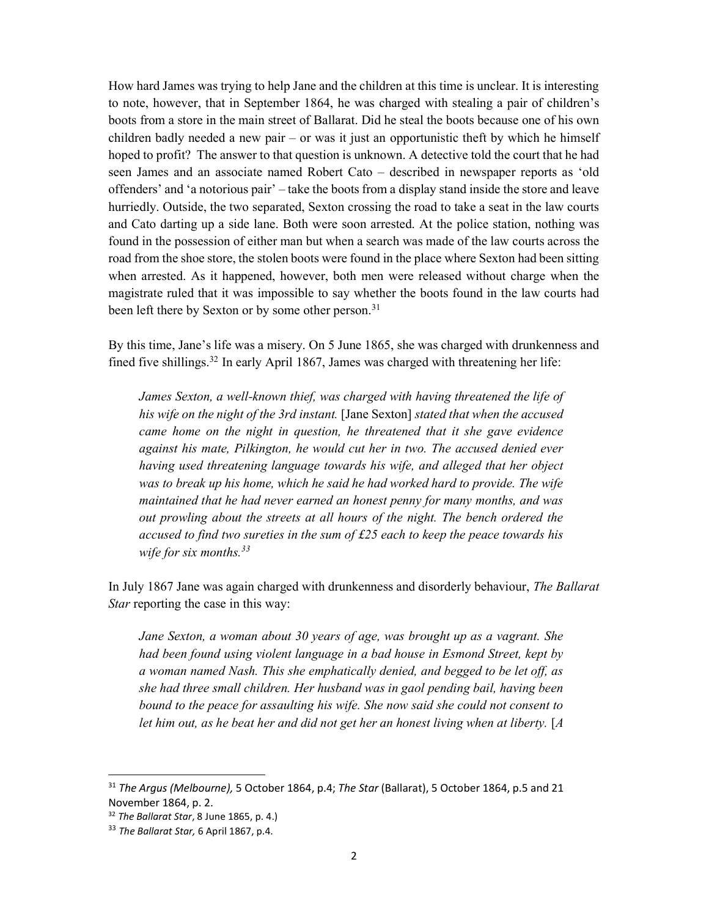How hard James was trying to help Jane and the children at this time is unclear. It is interesting to note, however, that in September 1864, he was charged with stealing a pair of children's boots from a store in the main street of Ballarat. Did he steal the boots because one of his own children badly needed a new pair – or was it just an opportunistic theft by which he himself hoped to profit? The answer to that question is unknown. A detective told the court that he had seen James and an associate named Robert Cato – described in newspaper reports as 'old offenders' and 'a notorious pair' – take the boots from a display stand inside the store and leave hurriedly. Outside, the two separated, Sexton crossing the road to take a seat in the law courts and Cato darting up a side lane. Both were soon arrested. At the police station, nothing was found in the possession of either man but when a search was made of the law courts across the road from the shoe store, the stolen boots were found in the place where Sexton had been sitting when arrested. As it happened, however, both men were released without charge when the magistrate ruled that it was impossible to say whether the boots found in the law courts had been left there by Sexton or by some other person.<sup>31</sup>

By this time, Jane's life was a misery. On 5 June 1865, she was charged with drunkenness and fined five shillings.<sup>32</sup> In early April 1867, James was charged with threatening her life:

James Sexton, a well-known thief, was charged with having threatened the life of his wife on the night of the 3rd instant. [Jane Sexton] stated that when the accused came home on the night in question, he threatened that it she gave evidence against his mate, Pilkington, he would cut her in two. The accused denied ever having used threatening language towards his wife, and alleged that her object was to break up his home, which he said he had worked hard to provide. The wife maintained that he had never earned an honest penny for many months, and was out prowling about the streets at all hours of the night. The bench ordered the accused to find two sureties in the sum of £25 each to keep the peace towards his wife for six months.  $33$ 

In July 1867 Jane was again charged with drunkenness and disorderly behaviour, The Ballarat Star reporting the case in this way:

Jane Sexton, a woman about 30 years of age, was brought up as a vagrant. She had been found using violent language in a bad house in Esmond Street, kept by a woman named Nash. This she emphatically denied, and begged to be let off, as she had three small children. Her husband was in gaol pending bail, having been bound to the peace for assaulting his wife. She now said she could not consent to let him out, as he beat her and did not get her an honest living when at liberty. [A

 $31$  The Argus (Melbourne), 5 October 1864, p.4; The Star (Ballarat), 5 October 1864, p.5 and 21 November 1864, p. 2.

<sup>&</sup>lt;sup>32</sup> The Ballarat Star, 8 June 1865, p. 4.)

<sup>&</sup>lt;sup>33</sup> The Ballarat Star, 6 April 1867, p.4.